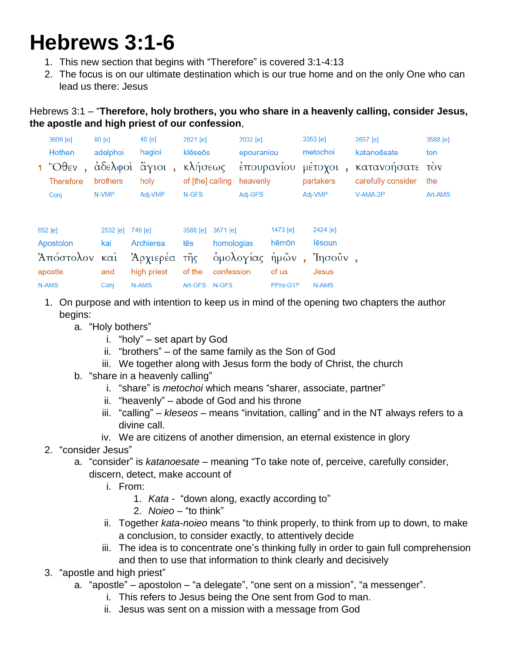## **Hebrews 3:1-6**

- 1. This new section that begins with "Therefore" is covered 3:1-4:13
- 2. The focus is on our ultimate destination which is our true home and on the only One who can lead us there: Jesus

## Hebrews 3:1 – "**Therefore, holy brothers, you who share in a heavenly calling, consider Jesus, the apostle and high priest of our confession**,

| 3606 [e]         | $80$ [e]         | $40$ [e] | 2821 [e]                  | 2032 [e]   | 3353 [e]  | 2657 [e]                                                           | 3588 [e] |
|------------------|------------------|----------|---------------------------|------------|-----------|--------------------------------------------------------------------|----------|
| Hothen           | adelphoi         | hagioi   | klēseōs                   | epouraniou | metochoi  | katanoësate                                                        | ton      |
|                  |                  |          |                           |            |           | 1 Όθεν, άδελφοί άγιοι, κλήσεως έπουρανίου μέτοχοι, κατανοήσατε τον |          |
| <b>Therefore</b> | brothers         | holy     | of [the] calling heavenly |            | partakers | carefully consider                                                 | the      |
| Conj             | N-VMP            | Adj-VMP  | N-GFS                     | Adj-GFS    | Adj-VMP   | V-AMA-2P                                                           | Art-AMS  |
| $652$ [e]        | 2532 [e] 749 [e] |          | 3588 [e] 3671 [e]         | 1473 [e]   | 2424 [e]  |                                                                    |          |

| Apostolon kai Archierea tēs homologias hēmōn lēsoun |                          |                                         |                |       |
|-----------------------------------------------------|--------------------------|-----------------------------------------|----------------|-------|
| Άπόστολον καὶ Ἀρχιερέα τῆς ὁμολογίας ἡμῶν, Ἰησοῦν,  |                          |                                         |                |       |
| apostle                                             |                          | and high priest of the confession of us |                | Jesus |
| N-AMS                                               | Coni N-AMS Art-GFS N-GFS |                                         | PPro-G1P N-AMS |       |

- 1. On purpose and with intention to keep us in mind of the opening two chapters the author begins:
	- a. "Holy bothers"
		- i. "holy" set apart by God
		- ii. "brothers" of the same family as the Son of God
		- iii. We together along with Jesus form the body of Christ, the church
	- b. "share in a heavenly calling"
		- i. "share" is *metochoi* which means "sharer, associate, partner"
		- ii. "heavenly" abode of God and his throne
		- iii. "calling" *kleseos* means "invitation, calling" and in the NT always refers to a divine call.
		- iv. We are citizens of another dimension, an eternal existence in glory
- 2. "consider Jesus"
	- a. "consider" is *katanoesate* meaning "To take note of, perceive, carefully consider,
		- discern, detect, make account of
			- i. From:
				- 1. *Kata* "down along, exactly according to"
				- 2. *Noieo* "to think"
			- ii. Together *kata*-*noieo* means "to think properly, to think from up to down, to make a conclusion, to consider exactly, to attentively decide
			- iii. The idea is to concentrate one's thinking fully in order to gain full comprehension and then to use that information to think clearly and decisively
- 3. "apostle and high priest"
	- a. "apostle" apostolon "a delegate", "one sent on a mission", "a messenger".
		- i. This refers to Jesus being the One sent from God to man.
		- ii. Jesus was sent on a mission with a message from God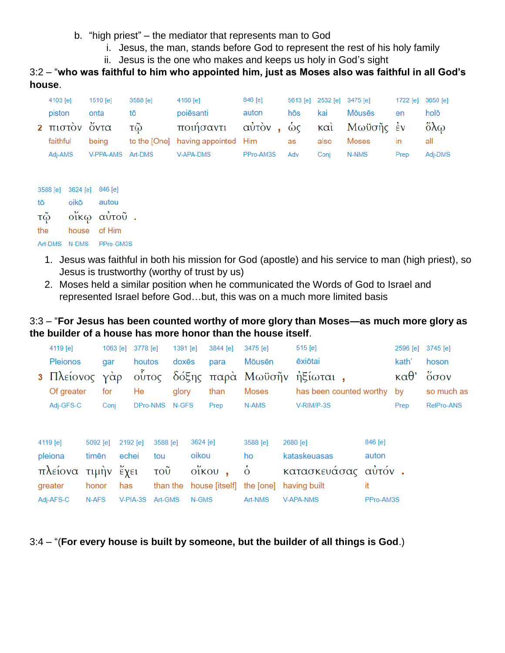- b. "high priest" the mediator that represents man to God
	- i. Jesus, the man, stands before God to represent the rest of his holy family
	- ii. Jesus is the one who makes and keeps us holy in God's sight

3:2 – "**who was faithful to him who appointed him, just as Moses also was faithful in all God's house**.

| 4103 [e]                   | 1510 [e]          | 3588 [e] | 4160 [e]                          | 846 [e]   |     | 5613 [e] 2532 [e] 3475 [e] |                |           | 1722 [e] 3650 [e]     |
|----------------------------|-------------------|----------|-----------------------------------|-----------|-----|----------------------------|----------------|-----------|-----------------------|
| piston                     | onta              | tō       | poiēsanti                         | auton     | hōs | kai                        | <b>M</b> ōusēs | en        | holō                  |
| 2 πιστον όντα              |                   | τῶ       | ποιήσαντι αὐτὸν, ὡς               |           |     |                            | και Μωϋσῆς έν  |           | $\delta\lambda\omega$ |
| faithful                   | beina             |          | to the [One] having appointed Him |           | as  | also                       | Moses          | <i>in</i> | all                   |
| Adj-AMS                    | V-PPA-AMS Art-DMS |          | V-APA-DMS                         | PPro-AM3S | Adv | Conj                       | N-NMS          | Prep      | Adj-DMS               |
|                            |                   |          |                                   |           |     |                            |                |           |                       |
|                            |                   |          |                                   |           |     |                            |                |           |                       |
| 3588 [9] 3624 [9] 3588 [9] |                   |          |                                   |           |     |                            |                |           |                       |

|     | $0000101$ $002101$ |                         |
|-----|--------------------|-------------------------|
| tō  | oikō autou         |                         |
| τῷ  |                    | οἴκφ αὐτοῦ.             |
| the | house of Him       |                         |
|     |                    | Art-DMS N-DMS PPro-GM3S |

- 1. Jesus was faithful in both his mission for God (apostle) and his service to man (high priest), so Jesus is trustworthy (worthy of trust by us)
- 2. Moses held a similar position when he communicated the Words of God to Israel and represented Israel before God…but, this was on a much more limited basis

## 3:3 – "**For Jesus has been counted worthy of more glory than Moses—as much more glory as the builder of a house has more honor than the house itself**.

| 4119 [e]        |          | 1063 [e] | 3778 [e]                        |          | $1391$ [e] |          | 3844 [e] | 3475 [e]                          | 515 [e]                    |           | 2596 [e]               | 3745 [e]                     |
|-----------------|----------|----------|---------------------------------|----------|------------|----------|----------|-----------------------------------|----------------------------|-----------|------------------------|------------------------------|
| <b>Pleionos</b> |          | gar      | houtos                          |          | doxēs      |          | para     | Mōusēn                            | ēxiōtai                    |           | kath'                  | hoson                        |
| 3 Πλείονος γάρ  |          |          | οὗτος                           |          |            |          |          |                                   | δόξης παρά Μωϋσῆν ήξίωται, |           | $\kappa\alpha\theta$ ' | $\ddot{o}$ $\sigma$ $\sigma$ |
| Of greater      |          | for      | He                              |          | glory      |          | than     | <b>Moses</b>                      | has been counted worthy    |           | by                     | so much as                   |
| Adj-GFS-C       |          | Conj     | DPro-NMS                        |          | N-GFS      |          | Prep     | N-AMS                             | V-RIM/P-3S                 |           | Prep                   | <b>RelPro-ANS</b>            |
|                 |          |          |                                 |          |            |          |          |                                   |                            |           |                        |                              |
|                 | 5092 [e] |          | 2192 [e]                        | 3588 [e] |            | 3624 [e] |          | 3588 [e]                          | 2680 [e]                   | 846 [e]   |                        |                              |
| 4119 [e]        |          |          |                                 |          |            |          |          |                                   |                            |           |                        |                              |
| pleiona         | timēn    |          | echei                           | tou      |            | oikou    |          | ho                                | kataskeuasas               | auton     |                        |                              |
| πλείονα         | τιμήν    |          | $\epsilon$ $\chi$ <sub>El</sub> | τοῦ      |            | οἴκου    |          | $\dot{\delta}$                    | κατασκευάσας αὐτόν.        |           |                        |                              |
| greater         | honor    |          | has                             |          |            |          |          | than the house [itself] the [one] | having built               | it        |                        |                              |
| Adj-AFS-C       | N-AFS    |          | $V-PIA-3S$                      | Art-GMS  |            | N-GMS    |          | Art-NMS                           | <b>V-APA-NMS</b>           | PPro-AM3S |                        |                              |

3:4 – "(**For every house is built by someone, but the builder of all things is God**.)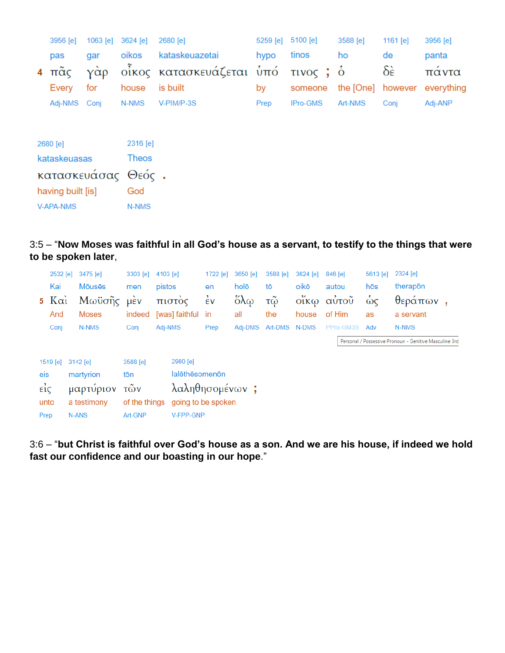|                    | 3956 [e]                     | 1063 [e] | 3624 [e]     | 2680 [e]                 | 5259 [e] | 5100 [e] | 3588 [e]          | 1161 $[e]$ | 3956 [e]   |  |  |  |
|--------------------|------------------------------|----------|--------------|--------------------------|----------|----------|-------------------|------------|------------|--|--|--|
|                    | pas                          | gar      | oikos        | kataskeuazetai           | hypo     | tinos    | ho                | de         | panta      |  |  |  |
| $\overline{4}$     | $\pi\tilde{\alpha}\varsigma$ | γαρ      |              | οἶκος κατασκευάζεται ὑπό |          |          |                   | δὲ         | παντα      |  |  |  |
|                    | Every                        | for      | house        | is built                 | by       | someone  | the [One] however |            | everything |  |  |  |
|                    | Adj-NMS Conj                 |          | N-NMS        | V-PIM/P-3S               | Prep     | IPro-GMS | Art-NMS           | Conj       | Adj-ANP    |  |  |  |
|                    |                              |          |              |                          |          |          |                   |            |            |  |  |  |
|                    | 2680 [e]                     |          | 2316 [e]     |                          |          |          |                   |            |            |  |  |  |
|                    | kataskeuasas                 |          | <b>Theos</b> |                          |          |          |                   |            |            |  |  |  |
| κατασκευάσας Θεός. |                              |          |              |                          |          |          |                   |            |            |  |  |  |
| having built [is]  |                              | God      |              |                          |          |          |                   |            |            |  |  |  |
| V-APA-NMS          |                              |          | N-NMS        |                          |          |          |                   |            |            |  |  |  |

## 3:5 – "**Now Moses was faithful in all God's house as a servant, to testify to the things that were to be spoken later**,

|      | 2532 [e]      | 3475 [e]       | 3303 [e]      | 4103 [e]           | 1722 [e] | 3650 [e]                | 3588 [e] | 3624 [e] | 846 [e]   | 5613 [e] | 2324 [e]                                               |  |
|------|---------------|----------------|---------------|--------------------|----------|-------------------------|----------|----------|-----------|----------|--------------------------------------------------------|--|
|      | Kai           | <b>M</b> ouses | men           | pistos             | en       | holō                    | tō       | oikō     | autou     | hōs      | therapon                                               |  |
|      | $5 K\alpha i$ | Μωϋσῆς         | μέν           | πιστός             | έv       | $\delta \lambda \omega$ | τῷ       | οίκω     | αὐτοῦ     | $\omega$ | θεράπων                                                |  |
|      | And           | <b>Moses</b>   | indeed        | [was] faithful     | -in      | all                     | the      | house    | of Him    | as       | a servant                                              |  |
|      | Conj          | N-NMS          | Conj          | Adj-NMS            | Prep     | Adj-DMS                 | Art-DMS  | N-DMS    | PPro-GM3S | Adv      | N-NMS                                                  |  |
|      |               |                |               |                    |          |                         |          |          |           |          | Personal / Possessive Pronoun - Genitive Masculine 3rd |  |
|      | 1519 [e]      | 3142 [e]       | 3588 [e]      | 2980 [e]           |          |                         |          |          |           |          |                                                        |  |
| eis  |               | martyrion      | tōn           | lalēthēsomenōn     |          |                         |          |          |           |          |                                                        |  |
| είς  |               | μαρτύριον      | τῶν           | λαληθησομένων;     |          |                         |          |          |           |          |                                                        |  |
|      | unto          | a testimony    | of the things | going to be spoken |          |                         |          |          |           |          |                                                        |  |
| Prep |               | <b>N-ANS</b>   | Art-GNP       | V-FPP-GNP          |          |                         |          |          |           |          |                                                        |  |

3:6 – "**but Christ is faithful over God's house as a son. And we are his house, if indeed we hold fast our confidence and our boasting in our hope**."